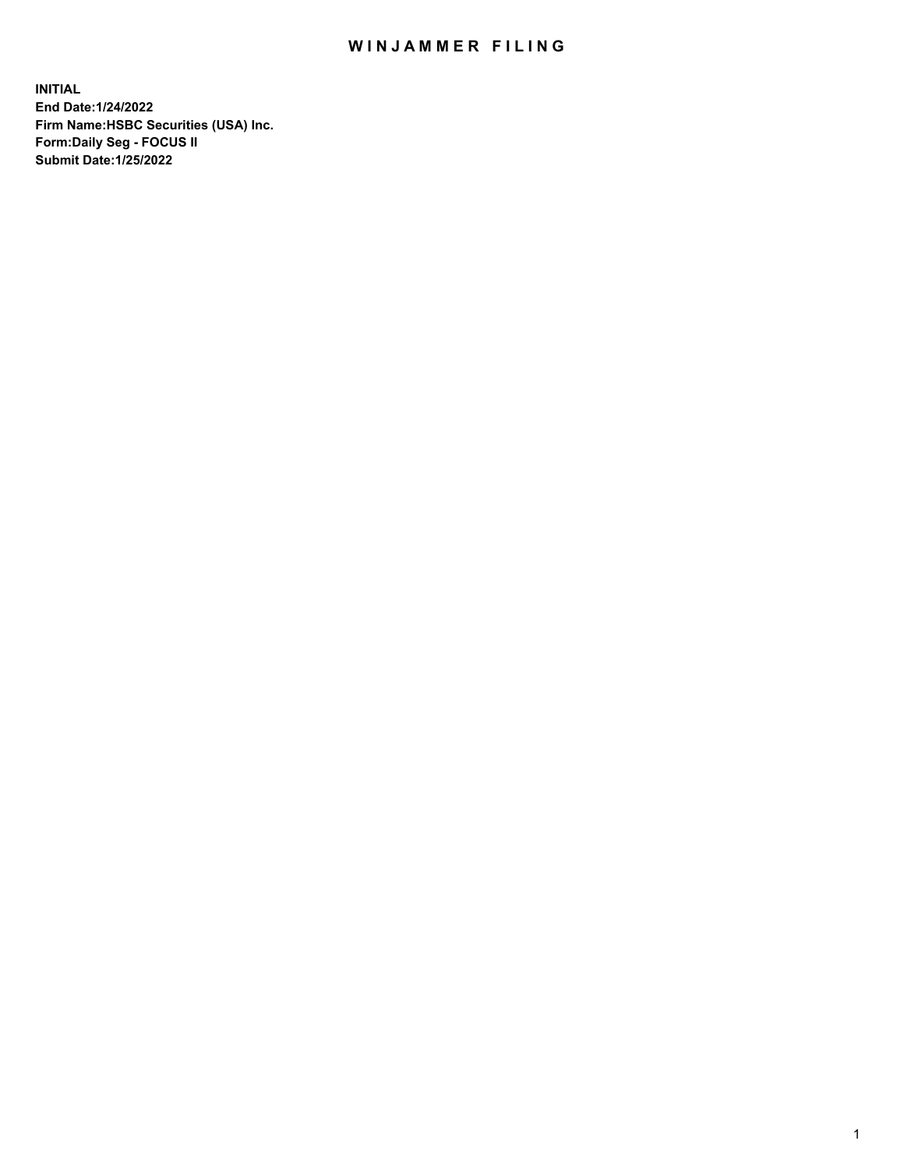## WIN JAMMER FILING

**INITIAL End Date:1/24/2022 Firm Name:HSBC Securities (USA) Inc. Form:Daily Seg - FOCUS II Submit Date:1/25/2022**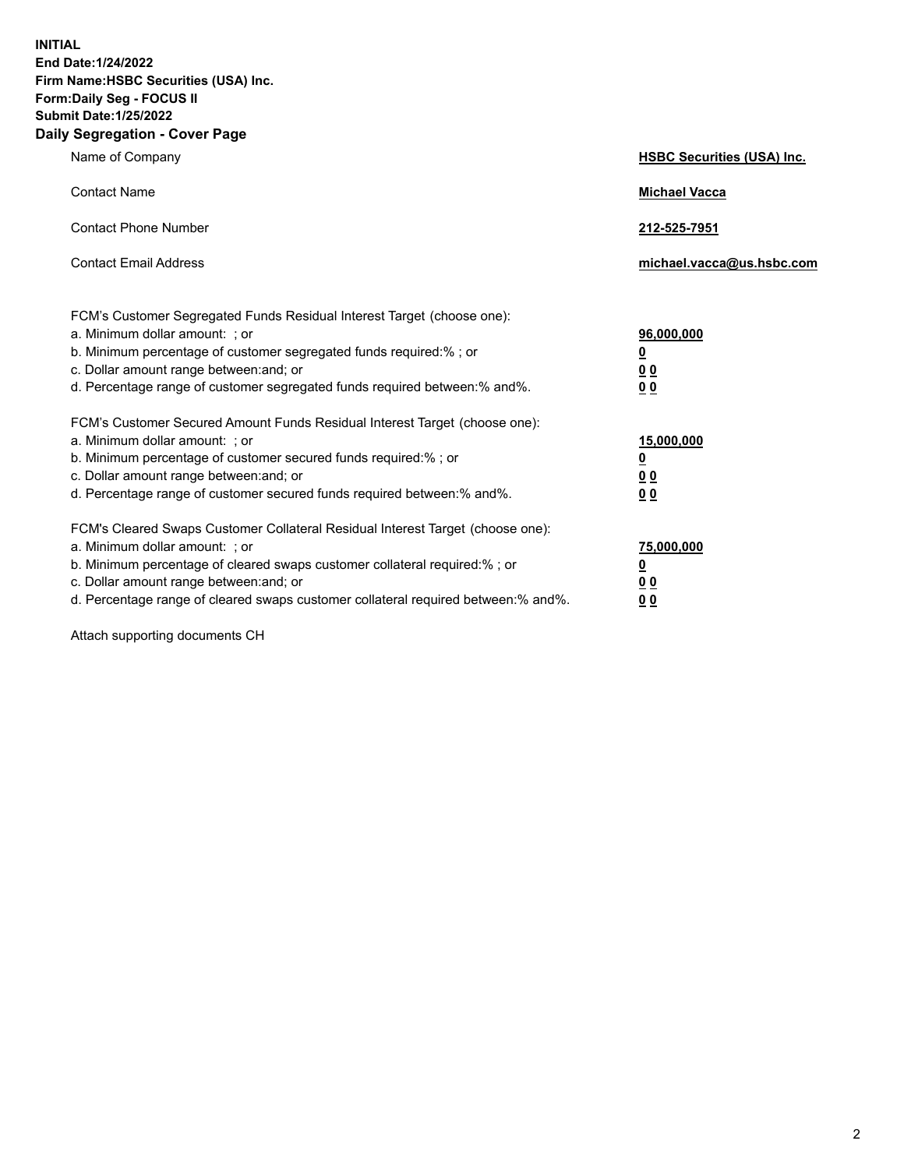**INITIAL End Date:1/24/2022 Firm Name:HSBC Securities (USA) Inc. Form:Daily Seg - FOCUS II Submit Date:1/25/2022 Daily Segregation - Cover Page**

| Name of Company                                                                                                                                                                                                                                                                                                                | <b>HSBC Securities (USA) Inc.</b>                          |
|--------------------------------------------------------------------------------------------------------------------------------------------------------------------------------------------------------------------------------------------------------------------------------------------------------------------------------|------------------------------------------------------------|
| <b>Contact Name</b>                                                                                                                                                                                                                                                                                                            | <b>Michael Vacca</b>                                       |
| <b>Contact Phone Number</b>                                                                                                                                                                                                                                                                                                    | 212-525-7951                                               |
| <b>Contact Email Address</b>                                                                                                                                                                                                                                                                                                   | michael.vacca@us.hsbc.com                                  |
| FCM's Customer Segregated Funds Residual Interest Target (choose one):<br>a. Minimum dollar amount: ; or<br>b. Minimum percentage of customer segregated funds required:% ; or<br>c. Dollar amount range between: and; or<br>d. Percentage range of customer segregated funds required between:% and%.                         | 96,000,000<br><u>0</u><br>0 <sub>0</sub><br>00             |
| FCM's Customer Secured Amount Funds Residual Interest Target (choose one):<br>a. Minimum dollar amount: ; or<br>b. Minimum percentage of customer secured funds required:%; or<br>c. Dollar amount range between: and; or<br>d. Percentage range of customer secured funds required between:% and%.                            | 15,000,000<br><u>0</u><br>0 <sub>0</sub><br>0 <sub>0</sub> |
| FCM's Cleared Swaps Customer Collateral Residual Interest Target (choose one):<br>a. Minimum dollar amount: ; or<br>b. Minimum percentage of cleared swaps customer collateral required:% ; or<br>c. Dollar amount range between: and; or<br>d. Percentage range of cleared swaps customer collateral required between:% and%. | 75,000,000<br><u>0</u><br><u>00</u><br>00                  |

Attach supporting documents CH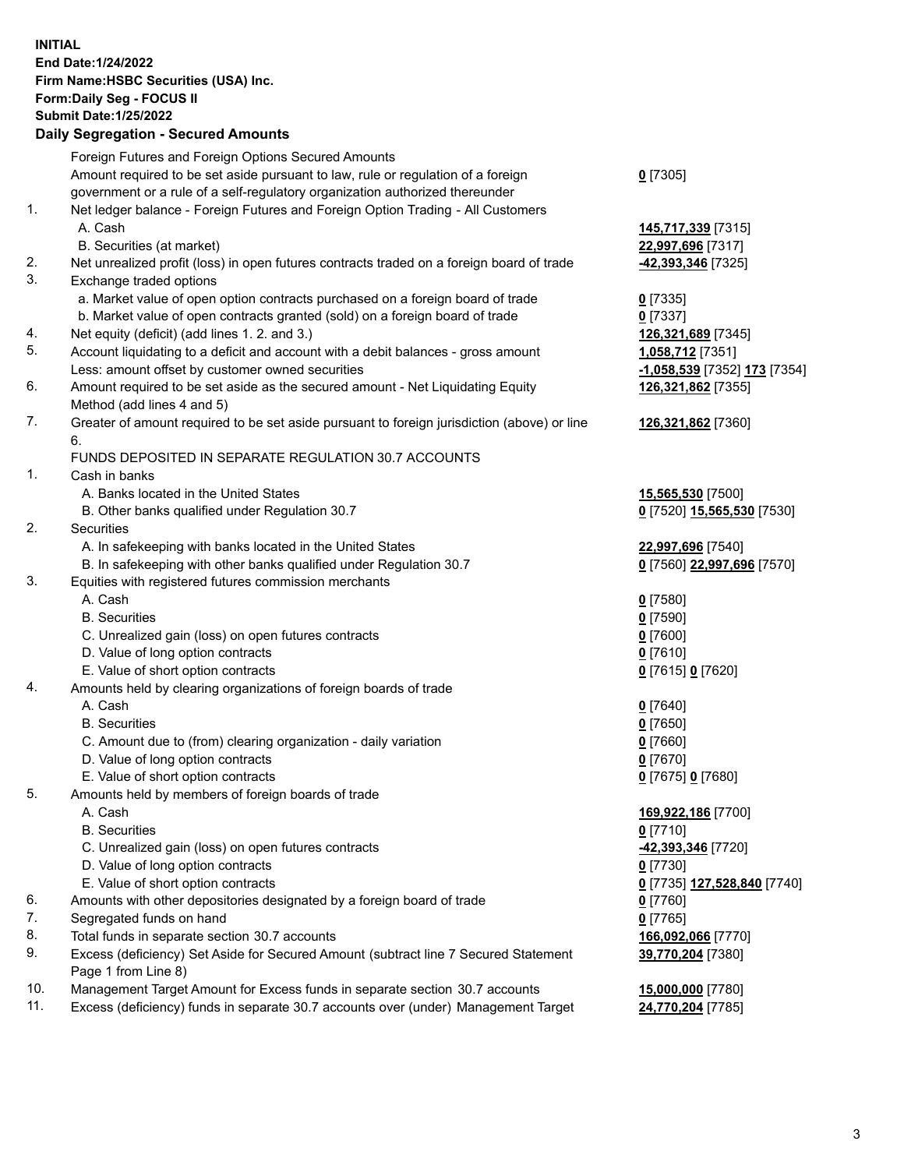**INITIAL End Date:1/24/2022 Firm Name:HSBC Securities (USA) Inc. Form:Daily Seg - FOCUS II Submit Date:1/25/2022 Daily Segregation - Secured Amounts** Foreign Futures and Foreign Options Secured Amounts Amount required to be set aside pursuant to law, rule or regulation of a foreign government or a rule of a self-regulatory organization authorized thereunder **0** [7305] 1. Net ledger balance - Foreign Futures and Foreign Option Trading - All Customers A. Cash **145,717,339** [7315] B. Securities (at market) **22,997,696** [7317] 2. Net unrealized profit (loss) in open futures contracts traded on a foreign board of trade **-42,393,346** [7325] 3. Exchange traded options a. Market value of open option contracts purchased on a foreign board of trade **0** [7335] b. Market value of open contracts granted (sold) on a foreign board of trade **0** [7337] 4. Net equity (deficit) (add lines 1. 2. and 3.) **126,321,689** [7345] 5. Account liquidating to a deficit and account with a debit balances - gross amount **1,058,712** [7351] Less: amount offset by customer owned securities **-1,058,539** [7352] **173** [7354] 6. Amount required to be set aside as the secured amount - Net Liquidating Equity Method (add lines 4 and 5) **126,321,862** [7355] 7. Greater of amount required to be set aside pursuant to foreign jurisdiction (above) or line 6. **126,321,862** [7360] FUNDS DEPOSITED IN SEPARATE REGULATION 30.7 ACCOUNTS 1. Cash in banks A. Banks located in the United States **15,565,530** [7500] B. Other banks qualified under Regulation 30.7 **0** [7520] **15,565,530** [7530] 2. Securities A. In safekeeping with banks located in the United States **22,997,696** [7540] B. In safekeeping with other banks qualified under Regulation 30.7 **0** [7560] **22,997,696** [7570] 3. Equities with registered futures commission merchants A. Cash **0** [7580] B. Securities **0** [7590] C. Unrealized gain (loss) on open futures contracts **0** [7600] D. Value of long option contracts **0** [7610] E. Value of short option contracts **0** [7615] **0** [7620] 4. Amounts held by clearing organizations of foreign boards of trade A. Cash **0** [7640] B. Securities **0** [7650] C. Amount due to (from) clearing organization - daily variation **0** [7660] D. Value of long option contracts **0** [7670] E. Value of short option contracts **0** [7675] **0** [7680] 5. Amounts held by members of foreign boards of trade A. Cash **169,922,186** [7700] B. Securities **0** [7710] C. Unrealized gain (loss) on open futures contracts **-42,393,346** [7720] D. Value of long option contracts **0** [7730]

- E. Value of short option contracts **0** [7735] **127,528,840** [7740]
- 6. Amounts with other depositories designated by a foreign board of trade **0** [7760]
- 7. Segregated funds on hand **0** [7765]
- 8. Total funds in separate section 30.7 accounts **166,092,066** [7770]
- 9. Excess (deficiency) Set Aside for Secured Amount (subtract line 7 Secured Statement Page 1 from Line 8)
- 10. Management Target Amount for Excess funds in separate section 30.7 accounts **15,000,000** [7780]
- 11. Excess (deficiency) funds in separate 30.7 accounts over (under) Management Target **24,770,204** [7785]

**39,770,204** [7380]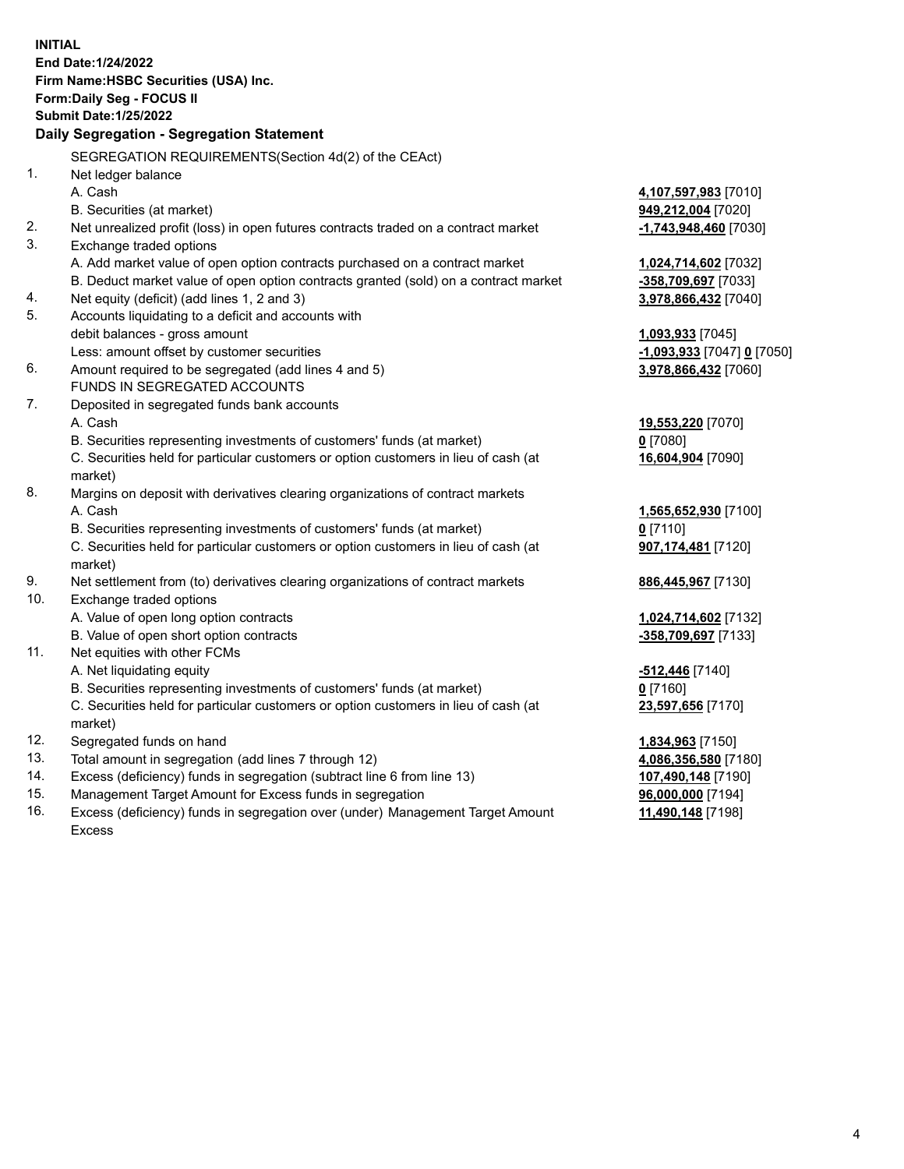**INITIAL End Date:1/24/2022 Firm Name:HSBC Securities (USA) Inc. Form:Daily Seg - FOCUS II Submit Date:1/25/2022 Daily Segregation - Segregation Statement** SEGREGATION REQUIREMENTS(Section 4d(2) of the CEAct) 1. Net ledger balance A. Cash **4,107,597,983** [7010] B. Securities (at market) **949,212,004** [7020] 2. Net unrealized profit (loss) in open futures contracts traded on a contract market **-1,743,948,460** [7030] 3. Exchange traded options A. Add market value of open option contracts purchased on a contract market **1,024,714,602** [7032] B. Deduct market value of open option contracts granted (sold) on a contract market **-358,709,697** [7033] 4. Net equity (deficit) (add lines 1, 2 and 3) **3,978,866,432** [7040] 5. Accounts liquidating to a deficit and accounts with debit balances - gross amount **1,093,933** [7045] Less: amount offset by customer securities **-1,093,933** [7047] **0** [7050] 6. Amount required to be segregated (add lines 4 and 5) **3,978,866,432** [7060] FUNDS IN SEGREGATED ACCOUNTS 7. Deposited in segregated funds bank accounts A. Cash **19,553,220** [7070] B. Securities representing investments of customers' funds (at market) **0** [7080] C. Securities held for particular customers or option customers in lieu of cash (at market) **16,604,904** [7090] 8. Margins on deposit with derivatives clearing organizations of contract markets A. Cash **1,565,652,930** [7100] B. Securities representing investments of customers' funds (at market) **0** [7110] C. Securities held for particular customers or option customers in lieu of cash (at market) **907,174,481** [7120] 9. Net settlement from (to) derivatives clearing organizations of contract markets **886,445,967** [7130] 10. Exchange traded options A. Value of open long option contracts **1,024,714,602** [7132] B. Value of open short option contracts **-358,709,697** [7133] 11. Net equities with other FCMs A. Net liquidating equity **-512,446** [7140] B. Securities representing investments of customers' funds (at market) **0** [7160] C. Securities held for particular customers or option customers in lieu of cash (at market) **23,597,656** [7170] 12. Segregated funds on hand **1,834,963** [7150] 13. Total amount in segregation (add lines 7 through 12) **4,086,356,580** [7180] 14. Excess (deficiency) funds in segregation (subtract line 6 from line 13) **107,490,148** [7190] 15. Management Target Amount for Excess funds in segregation **96,000,000** [7194]

16. Excess (deficiency) funds in segregation over (under) Management Target Amount Excess

**11,490,148** [7198]